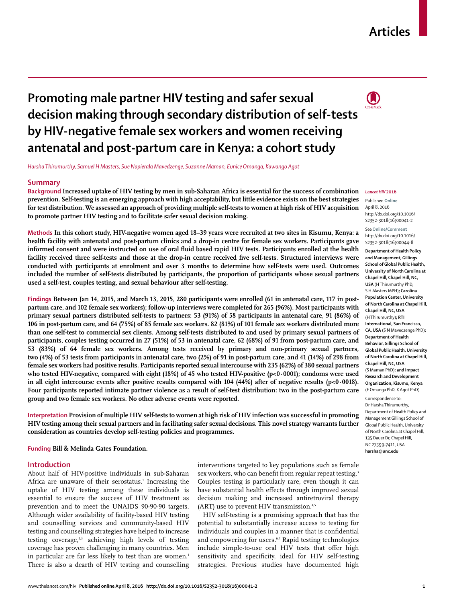#### www.thelancet.com/hiv **Published online April 8, 2016 http://dx.doi.org/10.1016/S2352-3018(16)00041-2 1**

# **Promoting male partner HIV testing and safer sexual decision making through secondary distribution of self-tests by HIV-negative female sex workers and women receiving antenatal and post-partum care in Kenya: a cohort study**

*Harsha Thirumurthy, Samuel H Masters, Sue Napierala Mavedzenge, Suzanne Maman, Eunice Omanga, Kawango Agot*

# **Summary**

**Background Increased uptake of HIV testing by men in sub-Saharan Africa is essential for the success of combination prevention. Self-testing is an emerging approach with high acceptability, but little evidence exists on the best strategies for test distribution. We assessed an approach of providing multiple self-tests to women at high risk of HIV acquisition to promote partner HIV testing and to facilitate safer sexual decision making.**

**Methods In this cohort study, HIV-negative women aged 18–39 years were recruited at two sites in Kisumu, Kenya: a health facility with antenatal and post-partum clinics and a drop-in centre for female sex workers. Participants gave**  informed consent and were instructed on use of oral fluid based rapid HIV tests. Participants enrolled at the health facility received three self-tests and those at the drop-in centre received five self-tests. Structured interviews were **conducted with participants at enrolment and over 3 months to determine how self-tests were used. Outcomes included the number of self-tests distributed by participants, the proportion of participants whose sexual partners used a self-test, couples testing, and sexual behaviour after self-testing.**

**Findings Between Jan 14, 2015, and March 13, 2015, 280 participants were enrolled (61 in antenatal care, 117 in postpartum care, and 102 female sex workers); follow-up interviews were completed for 265 (96%). Most participants with primary sexual partners distributed self-tests to partners: 53 (91%) of 58 participants in antenatal care, 91 (86%) of 106 in post-partum care, and 64 (75%) of 85 female sex workers. 82 (81%) of 101 female sex workers distributed more than one self-test to commercial sex clients. Among self-tests distributed to and used by primary sexual partners of participants, couples testing occurred in 27 (51%) of 53 in antenatal care, 62 (68%) of 91 from post-partum care, and 53 (83%) of 64 female sex workers. Among tests received by primary and non-primary sexual partners, two (4%) of 53 tests from participants in antenatal care, two (2%) of 91 in post-partum care, and 41 (14%) of 298 from female sex workers had positive results. Participants reported sexual intercourse with 235 (62%) of 380 sexual partners who tested HIV-negative, compared with eight (18%) of 45 who tested HIV-positive (p<0·0001); condoms were used**  in all eight intercourse events after positive results compared with 104 (44%) after of negative results (p<0·0018). **Four participants reported intimate partner violence as a result of self-test distribution: two in the post-partum care group and two female sex workers. No other adverse events were reported.**

**Interpretation Provision of multiple HIV self-tests to women at high risk of HIV infection was successful in promoting HIV testing among their sexual partners and in facilitating safer sexual decisions. This novel strategy warrants further consideration as countries develop self-testing policies and programmes.**

**Funding Bill & Melinda Gates Foundation.**

# **Introduction**

About half of HIV-positive individuals in sub-Saharan Africa are unaware of their serostatus.<sup>1</sup> Increasing the uptake of HIV testing among these individuals is essential to ensure the success of HIV treatment as prevention and to meet the UNAIDS 90-90-90 targets. Although wider availability of facility-based HIV testing and counselling services and community-based HIV testing and counselling strategies have helped to increase testing coverage,<sup>2,3</sup> achieving high levels of testing coverage has proven challenging in many countries. Men in particular are far less likely to test than are women.<sup>1</sup> There is also a dearth of HIV testing and counselling

interventions targeted to key populations such as female sex workers, who can benefit from regular repeat testing.<sup>3</sup> Couples testing is particularly rare, even though it can have substantial health effects through improved sexual decision making and increased antiretroviral therapy (ART) use to prevent HIV transmission.<sup>4,5</sup>

HIV self-testing is a promising approach that has the potential to substantially increase access to testing for individuals and couples in a manner that is confidential and empowering for users.<sup>6,7</sup> Rapid testing technologies include simple-to-use oral HIV tests that offer high sensitivity and specificity, ideal for HIV self-testing strategies. Previous studies have documented high

#### *Lancet HIV* **2016**

Published **Online** April 8, 2016 http://dx.doi.org/10.1016/ S2352-3018(16)00041-2 See**Online/Comment**

http://dx.doi.org/10.1016/ S2352-3018(16)00044-8

**Department of Health Policy and Management, Gillings School of Global Public Health, University of North Carolina at Chapel Hill, Chapel Hill, NC, USA** (H Thirumurthy PhD, S H Masters MPH)**; Carolina Population Center, University of North Carolina at Chapel Hill, Chapel Hill, NC, USA** (H Thirumurthy)**; RTI International, San Francisco, CA, USA** (S N Mavedzenge PhD)**; Department of Health Behavior, Gillings School of Global Public Health, University of North Carolina at Chapel Hill, Chapel Hill, NC, USA**  (S Maman PhD)**; and Impact Research and Development Organization, Kisumu, Kenya**  (E Omanga PhD, K Agot PhD)

Correspondence to: Dr Harsha Thirumurthy, Department of Health Policy and Management Gillings School of Global Public Health, University of North Carolina at Chapel Hill, 135 Dauer Dr, Chapel Hill, NC 27599-7411, USA **harsha@unc.edu**

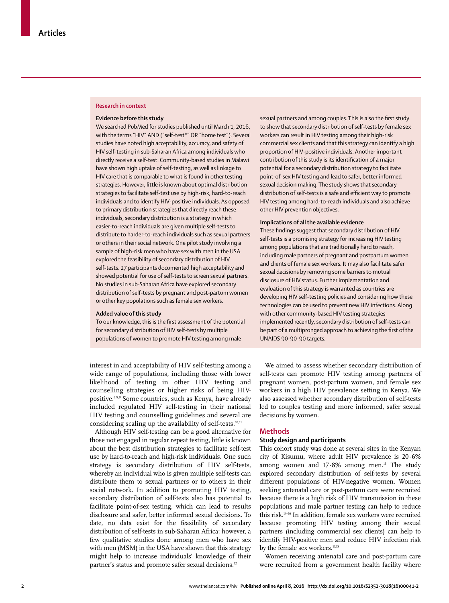#### **Research in context**

## **Evidence before this study**

We searched PubMed for studies published until March 1, 2016, with the terms "HIV" AND ("self-test\*" OR "home test"). Several studies have noted high acceptability, accuracy, and safety of HIV self-testing in sub-Saharan Africa among individuals who directly receive a self-test. Community-based studies in Malawi have shown high uptake of self-testing, as well as linkage to HIV care that is comparable to what is found in other testing strategies. However, little is known about optimal distribution strategies to facilitate self-test use by high-risk, hard-to-reach individuals and to identify HIV-positive individuals. As opposed to primary distribution strategies that directly reach these individuals, secondary distribution is a strategy in which easier-to-reach individuals are given multiple self-tests to distribute to harder-to-reach individuals such as sexual partners or others in their social network. One pilot study involving a sample of high-risk men who have sex with men in the USA explored the feasibility of secondary distribution of HIV self-tests. 27 participants documented high acceptability and showed potential for use of self-tests to screen sexual partners. No studies in sub-Saharan Africa have explored secondary distribution of self-tests by pregnant and post-partum women or other key populations such as female sex workers.

# **Added value of this study**

To our knowledge, this is the first assessment of the potential for secondary distribution of HIV self-tests by multiple populations of women to promote HIV testing among male

interest in and acceptability of HIV self-testing among a wide range of populations, including those with lower likelihood of testing in other HIV testing and counselling strategies or higher risks of being HIVpositive.6,8,9 Some countries, such as Kenya, have already included regulated HIV self-testing in their national HIV testing and counselling guidelines and several are considering scaling up the availability of self-tests.<sup>10,11</sup>

Although HIV self-testing can be a good alternative for those not engaged in regular repeat testing, little is known about the best distribution strategies to facilitate self-test use by hard-to-reach and high-risk individuals. One such strategy is secondary distribution of HIV self-tests, whereby an individual who is given multiple self-tests can distribute them to sexual partners or to others in their social network. In addition to promoting HIV testing, secondary distribution of self-tests also has potential to facilitate point-of-sex testing, which can lead to results disclosure and safer, better informed sexual decisions. To date, no data exist for the feasibility of secondary distribution of self-tests in sub-Saharan Africa; however, a few qualitative studies done among men who have sex with men (MSM) in the USA have shown that this strategy might help to increase individuals' knowledge of their partner's status and promote safer sexual decisions.<sup>12</sup>

sexual partners and among couples. This is also the first study to show that secondary distribution of self-tests by female sex workers can result in HIV testing among their high-risk commercial sex clients and that this strategy can identify a high proportion of HIV-positive individuals. Another important contribution of this study is its identification of a major potential for a secondary distribution strategy to facilitate point-of-sex HIV testing and lead to safer, better informed sexual decision making. The study shows that secondary distribution of self-tests is a safe and efficient way to promote HIV testing among hard-to-reach individuals and also achieve other HIV prevention objectives.

#### **Implications of all the available evidence**

These findings suggest that secondary distribution of HIV self-tests is a promising strategy for increasing HIV testing among populations that are traditionally hard to reach, including male partners of pregnant and postpartum women and clients of female sex workers. It may also facilitate safer sexual decisions by removing some barriers to mutual disclosure of HIV status. Further implementation and evaluation of this strategy is warranted as countries are developing HIV self-testing policies and considering how these technologies can be used to prevent new HIV infections. Along with other community-based HIV testing strategies implemented recently, secondary distribution of self-tests can be part of a multipronged approach to achieving the first of the UNAIDS 90-90-90 targets.

We aimed to assess whether secondary distribution of self-tests can promote HIV testing among partners of pregnant women, post-partum women, and female sex workers in a high HIV prevalence setting in Kenya. We also assessed whether secondary distribution of self-tests led to couples testing and more informed, safer sexual decisions by women.

# **Methods**

# **Study design and participants**

This cohort study was done at several sites in the Kenyan city of Kisumu, where adult HIV prevalence is 20·6% among women and 17.8% among men.<sup>13</sup> The study explored secondary distribution of self-tests by several different populations of HIV-negative women. Women seeking antenatal care or post-partum care were recruited because there is a high risk of HIV transmission in these populations and male partner testing can help to reduce this risk.14–16 In addition, female sex workers were recruited because promoting HIV testing among their sexual partners (including commercial sex clients) can help to identify HIV-positive men and reduce HIV infection risk by the female sex workers.<sup>17,18</sup>

Women receiving antenatal care and post-partum care were recruited from a government health facility where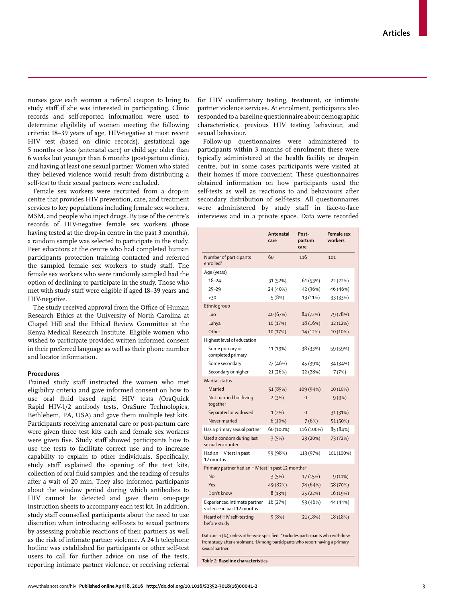nurses gave each woman a referral coupon to bring to study staff if she was interested in participating. Clinic records and self-reported information were used to determine eligibility of women meeting the following criteria: 18–39 years of age, HIV-negative at most recent HIV test (based on clinic records), gestational age 5 months or less (antenatal care) or child age older than 6 weeks but younger than 6 months (post-partum clinic), and having at least one sexual partner. Women who stated they believed violence would result from distributing a self-test to their sexual partners were excluded.

Female sex workers were recruited from a drop-in centre that provides HIV prevention, care, and treatment services to key populations including female sex workers, MSM, and people who inject drugs. By use of the centre's records of HIV-negative female sex workers (those having tested at the drop-in centre in the past 3 months), a random sample was selected to participate in the study. Peer educators at the centre who had completed human participants protection training contacted and referred the sampled female sex workers to study staff. The female sex workers who were randomly sampled had the option of declining to participate in the study. Those who met with study staff were eligible if aged 18–39 years and HIV-negative.

The study received approval from the Office of Human Research Ethics at the University of North Carolina at Chapel Hill and the Ethical Review Committee at the Kenya Medical Research Institute. Eligible women who wished to participate provided written informed consent in their preferred language as well as their phone number and locator information.

# **Procedures**

Trained study staff instructed the women who met eligibility criteria and gave informed consent on how to use oral fluid based rapid HIV tests (OraQuick Rapid HIV-1/2 antibody tests, OraSure Technologies, Bethlehem, PA, USA) and gave them multiple test kits. Participants receiving antenatal care or post-partum care were given three test kits each and female sex workers were given five. Study staff showed participants how to use the tests to facilitate correct use and to increase capability to explain to other individuals. Specifically, study staff explained the opening of the test kits, collection of oral fluid samples, and the reading of results after a wait of 20 min. They also informed participants about the window period during which antibodies to HIV cannot be detected and gave them one-page instruction sheets to accompany each test kit. In addition, study staff counselled participants about the need to use discretion when introducing self-tests to sexual partners by assessing probable reactions of their partners as well as the risk of intimate partner violence**.** A 24 h telephone hotline was established for participants or other self-test users to call for further advice on use of the tests, reporting intimate partner violence, or receiving referral for HIV confirmatory testing, treatment, or intimate partner violence services. At enrolment, participants also responded to a baseline questionnaire about demographic characteristics, previous HIV testing behaviour, and sexual behaviour.

Follow-up questionnaires were administered to participants within 3 months of enrolment; these were typically administered at the health facility or drop-in centre, but in some cases participants were visited at their homes if more convenient. These questionnaires obtained information on how participants used the self-tests as well as reactions to and behaviours after secondary distribution of self-tests. All questionnaires were administered by study staff in face-to-face interviews and in a private space. Data were recorded

|                                                                                 | Antenatal<br>care | Post-<br>partum<br>care | <b>Female sex</b><br>workers |  |
|---------------------------------------------------------------------------------|-------------------|-------------------------|------------------------------|--|
| Number of participants<br>enrolled*                                             | 60                | 116                     | 101                          |  |
| Age (years)                                                                     |                   |                         |                              |  |
| 18-24                                                                           | 31 (52%)          | 61 (53%)                | 22 (22%)                     |  |
| $25 - 29$                                                                       | 24 (40%)          | 42 (36%)                | 46 (46%)                     |  |
| >30                                                                             | 5(8%)             | 13 (11%)                | 33 (33%)                     |  |
| Ethnic group                                                                    |                   |                         |                              |  |
| Luo                                                                             | 40 (67%)          | 84 (72%)                | 79 (78%)                     |  |
| Luhya                                                                           | 10 (17%)          | 18 (16%)                | 12 (12%)                     |  |
| Other                                                                           | 10 (17%)          | 14 (12%)                | 10 (10%)                     |  |
| Highest level of education                                                      |                   |                         |                              |  |
| Some primary or<br>completed primary                                            | 11 (19%)          | 38 (33%)                | 59 (59%)                     |  |
| Some secondary                                                                  | 27 (46%)          | 45 (39%)                | 34 (34%)                     |  |
| Secondary or higher                                                             | 21 (36%)          | 32 (28%)                | 7(7%)                        |  |
| Marital status                                                                  |                   |                         |                              |  |
| Married                                                                         | 51 (85%)          | 109 (94%)               | 10 (10%)                     |  |
| Not married but living<br>together                                              | 2(3%)             | $\Omega$                | 9(9%)                        |  |
| Separated or widowed                                                            | 1(2%)             | $\overline{0}$          | 31 (31%)                     |  |
| Never married                                                                   | 6(10%)            | 7(6%)                   | 51 (50%)                     |  |
| Has a primary sexual partner                                                    | 60 (100%)         | 116 (100%)              | 85 (84%)                     |  |
| Used a condom during last<br>sexual encounter                                   | 3(5%)             | 23 (20%)                | 73 (72%)                     |  |
| Had an HIV test in past<br>12 months                                            | 59 (98%)          | 113 (97%)               | 101 (100%)                   |  |
| Primary partner had an HIV test in past 12 monthst                              |                   |                         |                              |  |
| <b>No</b>                                                                       | 3(5%)             | 17 (15%)                | 9(11%)                       |  |
| Yes                                                                             | 49 (82%)          | 74 (64%)                | 58 (70%)                     |  |
| Don't know                                                                      | 8(13%)            | 25 (22%)                | 16 (19%)                     |  |
| Experienced intimate partner<br>violence in past 12 months                      | 16 (27%)          | 53 (46%)                | 44 (44%)                     |  |
| Heard of HIV self-testing<br>before study                                       | 5(8%)             | 21 (18%)                | 18 (18%)                     |  |
| Data are n (%), unless otherwise specified. *Excludes participants who withdrew |                   |                         |                              |  |

from study after enrolment. †Among participants who report having a primary sexual partner.

*Table 1:* **Baseline characteristics**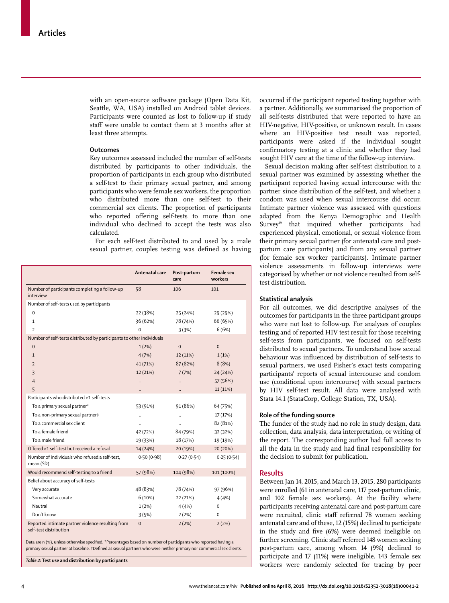with an open-source software package (Open Data Kit, Seattle, WA, USA) installed on Android tablet devices. Participants were counted as lost to follow-up if study staff were unable to contact them at 3 months after at least three attempts.

# **Outcomes**

Key outcomes assessed included the number of self-tests distributed by participants to other individuals, the proportion of participants in each group who distributed a self-test to their primary sexual partner, and among participants who were female sex workers, the proportion who distributed more than one self-test to their commercial sex clients. The proportion of participants who reported offering self-tests to more than one individual who declined to accept the tests was also calculated.

For each self-test distributed to and used by a male sexual partner, couples testing was defined as having

|                                                                             | Antenatal care       | Post-partum<br>care  | <b>Female sex</b><br>workers |
|-----------------------------------------------------------------------------|----------------------|----------------------|------------------------------|
| Number of participants completing a follow-up<br>interview                  | 58                   | 106                  | 101                          |
| Number of self-tests used by participants                                   |                      |                      |                              |
| $\mathbf 0$                                                                 | 22 (38%)             | 25 (24%)             | 29 (29%)                     |
| $\mathbf{1}$                                                                | 36 (62%)             | 78 (74%)             | 66 (65%)                     |
| $\mathcal{P}$                                                               | $\Omega$             | 3(3%)                | 6(6%)                        |
| Number of self-tests distributed by participants to other individuals       |                      |                      |                              |
| $\mathbf{0}$                                                                | 1(2%)                | $\mathbf 0$          | $\mathbf 0$                  |
| $\mathbf{1}$                                                                | 4(7%)                | 12 (11%)             | 1(1%)                        |
| $\overline{2}$                                                              | 41 (71%)             | 87 (82%)             | 8(8%)                        |
| 3                                                                           | 12 (21%)             | 7(7%)                | 24 (24%)                     |
| $\overline{4}$                                                              | $\ddot{\phantom{a}}$ | $\ddot{\phantom{a}}$ | 57 (56%)                     |
| 5                                                                           |                      |                      | 11 (11%)                     |
| Participants who distributed ≥1 self-tests                                  |                      |                      |                              |
| To a primary sexual partner*                                                | 53 (91%)             | 91 (86%)             | 64 (75%)                     |
| To a non-primary sexual partner‡                                            |                      | Ω.                   | 17 (17%)                     |
| To a commercial sex client                                                  |                      | u,                   | 82 (81%)                     |
| To a female friend                                                          | 42 (72%)             | 84 (79%)             | 32 (32%)                     |
| To a male friend                                                            | 19 (33%)             | 18 (17%)             | 19 (19%)                     |
| Offered ≥1 self-test but received a refusal                                 | 14 (24%)             | 20 (19%)             | 20 (20%)                     |
| Number of individuals who refused a self-test,<br>mean (SD)                 | 0.50(0.98)           | 0.27(0.54)           | 0.25(0.54)                   |
| Would recommend self-testing to a friend                                    | 57 (98%)             | 104 (98%)            | 101 (100%)                   |
| Belief about accuracy of self-tests                                         |                      |                      |                              |
| Very accurate                                                               | 48 (83%)             | 78 (74%)             | 97 (96%)                     |
| Somewhat accurate                                                           | 6(10%)               | 22 (21%)             | 4(4%)                        |
| Neutral                                                                     | 1(2%)                | 4(4%)                | 0                            |
| Don't know                                                                  | 3(5%)                | 2(2%)                | 0                            |
| Reported intimate partner violence resulting from<br>self-test distribution | $\mathbf 0$          | 2(2%)                | 2(2%)                        |

Data are n (%), unless otherwise specified. \*Percentages based on number of participants who reported having a primary sexual partner at baseline. †Defined as sexual partners who were neither primary nor commercial sex clients.

*Table 2:* **Test use and distribution by participants**

occurred if the participant reported testing together with a partner. Additionally, we summarised the proportion of all self-tests distributed that were reported to have an HIV-negative, HIV-positive, or unknown result. In cases where an HIV-positive test result was reported, participants were asked if the individual sought confirmatory testing at a clinic and whether they had sought HIV care at the time of the follow-up interview.

Sexual decision making after self-test distribution to a sexual partner was examined by assessing whether the participant reported having sexual intercourse with the partner since distribution of the self-test, and whether a condom was used when sexual intercourse did occur. Intimate partner violence was assessed with questions adapted from the Kenya Demographic and Health Survey<sup>19</sup> that inquired whether participants had experienced physical, emotional, or sexual violence from their primary sexual partner (for antenatal care and postpartum care participants) and from any sexual partner (for female sex worker participants). Intimate partner violence assessments in follow-up interviews were categorised by whether or not violence resulted from selftest distribution.

### **Statistical analysis**

For all outcomes, we did descriptive analyses of the outcomes for participants in the three participant groups who were not lost to follow-up. For analyses of couples testing and of reported HIV test result for those receiving self-tests from participants, we focused on self-tests distributed to sexual partners. To understand how sexual behaviour was influenced by distribution of self-tests to sexual partners, we used Fisher's exact tests comparing participants' reports of sexual intercourse and condom use (conditional upon intercourse) with sexual partners by HIV self-test result. All data were analysed with Stata 14.1 (StataCorp, College Station, TX, USA).

### **Role of the funding source**

The funder of the study had no role in study design, data collection, data analysis, data interpretation, or writing of the report. The corresponding author had full access to all the data in the study and had final responsibility for the decision to submit for publication.

# **Results**

Between Jan 14, 2015, and March 13, 2015, 280 participants were enrolled (61 in antenatal care, 117 post-partum clinic, and 102 female sex workers). At the facility where participants receiving antenatal care and post-partum care were recruited, clinic staff referred 78 women seeking antenatal care and of these, 12 (15%) declined to participate in the study and five (6%) were deemed ineligible on further screening. Clinic staff referred 148 women seeking post-partum care, among whom 14 (9%) declined to participate and 17 (11%) were ineligible. 143 female sex workers were randomly selected for tracing by peer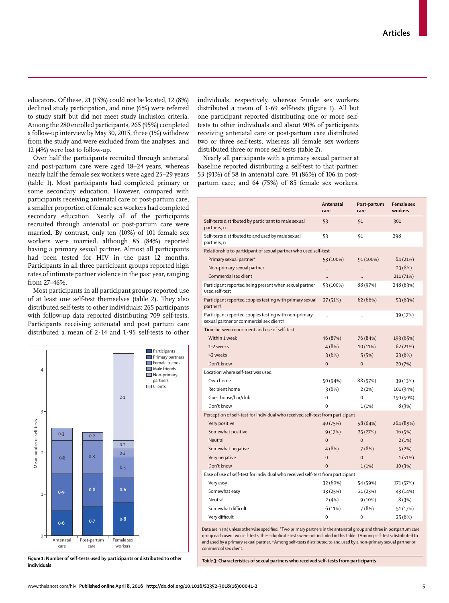educators. Of these, 21 (15%) could not be located, 12 (8%) declined study participation, and nine (6%) were referred to study staff but did not meet study inclusion criteria. Among the 280 enrolled participants, 265 (95%) completed a follow-up interview by May 30, 2015, three (1%) withdrew from the study and were excluded from the analyses, and 12 (4%) were lost to follow-up.

Over half the participants recruited through antenatal and post-partum care were aged 18–24 years, whereas nearly half the female sex workers were aged 25–29 years (table 1). Most participants had completed primary or some secondary education. However, compared with participants receiving antenatal care or post-partum care, a smaller proportion of female sex workers had completed secondary education. Nearly all of the participants recruited through antenatal or post-partum care were married. By contrast, only ten (10%) of 101 female sex workers were married, although 85 (84%) reported having a primary sexual partner. Almost all participants had been tested for HIV in the past 12 months. Participants in all three participant groups reported high rates of intimate partner violence in the past year, ranging from 27–46%.

Most participants in all participant groups reported use of at least one self-test themselves (table 2). They also distributed self-tests to other individuals; 265 participants with follow-up data reported distributing 709 self-tests. Participants receiving antenatal and post partum care distributed a mean of 2·14 and 1·95 self-tests to other



*Figure 1:* **Number of self-tests used by participants or distributed to other individuals**

individuals, respectively, whereas female sex workers distributed a mean of  $3.69$  self-tests (figure 1). All but one participant reported distributing one or more selftests to other individuals and about 90% of participants receiving antenatal care or post-partum care distributed two or three self-tests, whereas all female sex workers distributed three or more self-tests (table 2).

Nearly all participants with a primary sexual partner at baseline reported distributing a self-test to that partner: 53 (91%) of 58 in antenatal care, 91 (86%) of 106 in postpartum care; and 64 (75%) of 85 female sex workers.

|                                                                                                   | Antenatal<br>care    | Post-partum<br>care  | <b>Female sex</b><br>workers |
|---------------------------------------------------------------------------------------------------|----------------------|----------------------|------------------------------|
| Self-tests distributed by participant to male sexual<br>partners, n                               | 53                   | 91                   | 301                          |
| Self-tests distributed to and used by male sexual<br>partners, n                                  | 53                   | 91                   | 298                          |
| Relationship to participant of sexual partner who used self-test                                  |                      |                      |                              |
| Primary sexual partner*                                                                           | 53 (100%)            | 91 (100%)            | 64 (21%)                     |
| Non-primary sexual partner                                                                        | ä,                   | $\ddot{\phantom{a}}$ | 23(8%)                       |
| Commercial sex client                                                                             |                      |                      | 211 (71%)                    |
| Participant reported being present when sexual partner<br>used self-test                          | 53 (100%)            | 88 (97%)             | 248 (83%)                    |
| Participant reported couples testing with primary sexual<br>partner <sup>+</sup>                  | 27 (51%)             | 62 (68%)             | 53 (83%)                     |
| Participant reported couples testing with non-primary<br>sexual partner or commercial sex client‡ | $\ddot{\phantom{a}}$ | Ω.                   | 39 (17%)                     |
| Time between enrolment and use of self-test                                                       |                      |                      |                              |
| Within 1 week                                                                                     | 46 (87%)             | 76 (84%)             | 193 (65%)                    |
| 1-2 weeks                                                                                         | 4(8%)                | 10 (11%)             | 62 (21%)                     |
| >2 weeks                                                                                          | 3(6%)                | 5(5%)                | 23 (8%)                      |
| Don't know                                                                                        | $\Omega$             | $\mathbf{0}$         | 20(7%)                       |
| Location where self-test was used                                                                 |                      |                      |                              |
| Own home                                                                                          | 50 (94%)             | 88 (97%)             | 39 (13%)                     |
| Recipient home                                                                                    | 3(6%)                | 2(2%)                | 101 (34%)                    |
| Guesthouse/bar/club                                                                               | 0                    | $\Omega$             | 150 (50%)                    |
| Don't know                                                                                        | $\Omega$             | 1(1%)                | 8 (3%)                       |
| Perception of self-test for individual who received self-test from participant                    |                      |                      |                              |
| Very positive                                                                                     | 40 (75%)             | 58 (64%)             | 264 (89%)                    |
| Somewhat positive                                                                                 | 9(17%)               | 25 (27%)             | 16 (5%)                      |
| Neutral                                                                                           | $\Omega$             | $\Omega$             | 2(1%)                        |
| Somewhat negative                                                                                 | 4(8%)                | 7(8%)                | 5(2%)                        |
| Very negative                                                                                     | $\overline{0}$       | $\overline{0}$       | $1(-1%)$                     |
| Don't know                                                                                        | $\Omega$             | 1(1%)                | 10 (3%)                      |
| Ease of use of self-test for individual who received self-test from participant                   |                      |                      |                              |
| Very easy                                                                                         | 32 (60%)             | 54 (59%)             | 171 (57%)                    |
| Somewhat easy                                                                                     | 13 (25%)             | 21 (23%)             | 43 (14%)                     |
| Neutral                                                                                           | 2(4%)                | 9(10%)               | 8(3%)                        |
| Somewhat difficult                                                                                | 6(11%)               | 7(8%)                | 51 (17%)                     |
| Very difficult                                                                                    | $\Omega$             | $\Omega$             | 25 (8%)                      |
|                                                                                                   |                      |                      |                              |

Data are n (%) unless otherwise specified. \*Two primary partners in the antenatal group and three in postpartum care group each used two self-tests, these duplicate tests were not included in this table. †Among self-tests distributed to and used by a primary sexual partner. ‡Among self-tests distributed to and used by a non-primary sexual partner or commercial sex client.

*Table 3:* **Characteristics of sexual partners who received self-tests from participants**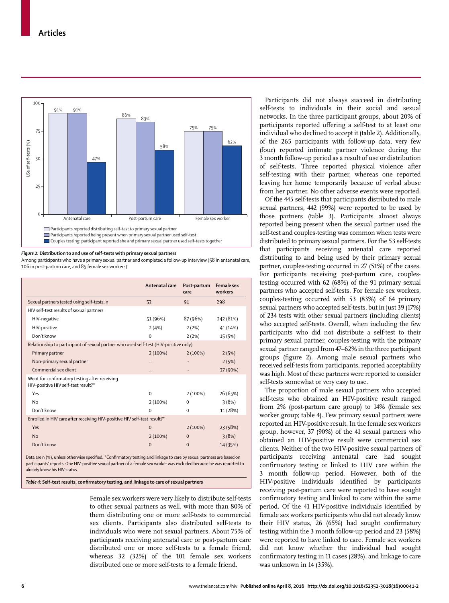

#### *Figure 2:* **Distribution to and use of self-tests with primary sexual partners**

Among participants who have a primary sexual partner and completed a follow-up interview (58 in antenatal care, 106 in post-partum care, and 85 female sex workers).

|                                                                                      | Antenatal care | Post-partum<br>care | <b>Female</b> sex<br>workers |
|--------------------------------------------------------------------------------------|----------------|---------------------|------------------------------|
| Sexual partners tested using self-tests, n                                           | 53             | 91                  | 298                          |
| HIV self-test results of sexual partners                                             |                |                     |                              |
| HIV-negative                                                                         | 51 (96%)       | 87 (96%)            | 242 (81%)                    |
| HIV-positive                                                                         | 2(4%)          | 2(2%)               | 41 (14%)                     |
| Don't know                                                                           | 0              | 2(2%)               | 15 (5%)                      |
| Relationship to participant of sexual partner who used self-test (HIV-positive only) |                |                     |                              |
| Primary partner                                                                      | 2(100%)        | $2(100\%)$          | 2(5%)                        |
| Non-primary sexual partner                                                           | $\ddotsc$      |                     | 2(5%)                        |
| Commercial sex client                                                                |                |                     | 37 (90%)                     |
| Went for confirmatory testing after receiving<br>HIV-positive HIV self-test result?* |                |                     |                              |
| Yes                                                                                  | 0              | 2(100%)             | 26 (65%)                     |
| No                                                                                   | 2 (100%)       | $\Omega$            | 3(8%)                        |
| Don't know                                                                           | $\Omega$       | $\Omega$            | 11 (28%)                     |
| Enrolled in HIV care after receiving HIV-positive HIV self-test result?*             |                |                     |                              |
| Yes                                                                                  | $\Omega$       | 2(100%)             | 23 (58%)                     |
| <b>No</b>                                                                            | 2(100%)        | $\Omega$            | 3(8%)                        |
| Don't know                                                                           | $\overline{0}$ | $\overline{0}$      | 14 (35%)                     |

Data are n (%), unless otherwise specified. \*Confirmatory testing and linkage to care by sexual partners are based on participants' reports. One HIV-positive sexual partner of a female sex worker was excluded because he was reported to already know his HIV status.

Table 4: Self-test results, confirmatory testing, and linkage to care of sexual partners

Female sex workers were very likely to distribute self-tests to other sexual partners as well, with more than 80% of them distributing one or more self-tests to commercial sex clients. Participants also distributed self-tests to individuals who were not sexual partners. About 75% of participants receiving antenatal care or post-partum care distributed one or more self-tests to a female friend, whereas 32 (32%) of the 101 female sex workers distributed one or more self-tests to a female friend.

Participants did not always succeed in distributing self-tests to individuals in their social and sexual networks. In the three participant groups, about 20% of participants reported offering a self-test to at least one individual who declined to accept it (table 2). Additionally, of the 265 participants with follow-up data, very few (four) reported intimate partner violence during the 3 month follow-up period as a result of use or distribution of self-tests. Three reported physical violence after self-testing with their partner, whereas one reported leaving her home temporarily because of verbal abuse from her partner. No other adverse events were reported.

Of the 445 self-tests that participants distributed to male sexual partners, 442 (99%) were reported to be used by those partners (table 3). Participants almost always reported being present when the sexual partner used the self-test and couples-testing was common when tests were distributed to primary sexual partners. For the 53 self-tests that participants receiving antenatal care reported distributing to and being used by their primary sexual partner, couples-testing occurred in 27 (51%) of the cases. For participants receiving post-partum care, couplestesting occurred with 62 (68%) of the 91 primary sexual partners who accepted self-tests. For female sex workers, couples-testing occurred with 53 (83%) of 64 primary sexual partners who accepted self-tests, but in just 39 (17%) of 234 tests with other sexual partners (including clients) who accepted self-tests. Overall, when including the few participants who did not distribute a self-test to their primary sexual partner, couples-testing with the primary sexual partner ranged from 47–62% in the three participant groups (figure 2). Among male sexual partners who received self-tests from participants, reported acceptability was high. Most of these partners were reported to consider self-tests somewhat or very easy to use.

The proportion of male sexual partners who accepted self-tests who obtained an HIV-positive result ranged from 2% (post-partum care group) to 14% (female sex worker group; table 4). Few primary sexual partners were reported an HIV-positive result. In the female sex workers group, however, 37 (90%) of the 41 sexual partners who obtained an HIV-positive result were commercial sex clients. Neither of the two HIV-positive sexual partners of participants receiving antenatal care had sought confirmatory testing or linked to HIV care within the 3 month follow-up period. However, both of the HIV-positive individuals identified by participants receiving post-partum care were reported to have sought confirmatory testing and linked to care within the same period. Of the 41 HIV-positive individuals identified by female sex workers participants who did not already know their HIV status, 26 (65%) had sought confirmatory testing within the 3 month follow-up period and 23 (58%) were reported to have linked to care. Female sex workers did not know whether the individual had sought confirmatory testing in 11 cases (28%), and linkage to care was unknown in 14 (35%).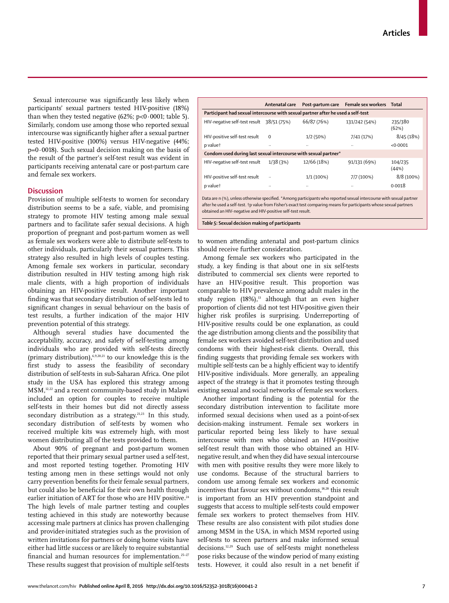Sexual intercourse was significantly less likely when participants' sexual partners tested HIV-positive (18%) than when they tested negative  $(62\%; p<0.0001;$  table 5). Similarly, condom use among those who reported sexual intercourse was significantly higher after a sexual partner tested HIV-positive (100%) versus HIV-negative (44%;  $p=0.0018$ ). Such sexual decision making on the basis of the result of the partner's self-test result was evident in participants receiving antenatal care or post-partum care and female sex workers.

# **Discussion**

Provision of multiple self-tests to women for secondary distribution seems to be a safe, viable, and promising strategy to promote HIV testing among male sexual partners and to facilitate safer sexual decisions. A high proportion of pregnant and post-partum women as well as female sex workers were able to distribute self-tests to other individuals, particularly their sexual partners. This strategy also resulted in high levels of couples testing. Among female sex workers in particular, secondary distribution resulted in HIV testing among high risk male clients, with a high proportion of individuals obtaining an HIV-positive result. Another important finding was that secondary distribution of self-tests led to significant changes in sexual behaviour on the basis of test results, a further indication of the major HIV prevention potential of this strategy.

Although several studies have documented the acceptability, accuracy, and safety of self-testing among individuals who are provided with self-tests directly (primary distribution),  $6,9,20,21$  to our knowledge this is the first study to assess the feasibility of secondary distribution of self-tests in sub-Saharan Africa. One pilot study in the USA has explored this strategy among MSM,12,22 and a recent community-based study in Malawi included an option for couples to receive multiple self-tests in their homes but did not directly assess secondary distribution as a strategy.<sup>21,23</sup> In this study, secondary distribution of self-tests by women who received multiple kits was extremely high, with most women distributing all of the tests provided to them.

About 90% of pregnant and post-partum women reported that their primary sexual partner used a self-test, and most reported testing together. Promoting HIV testing among men in these settings would not only carry prevention benefits for their female sexual partners, but could also be beneficial for their own health through earlier initiation of ART for those who are HIV positive.<sup>24</sup> The high levels of male partner testing and couples testing achieved in this study are noteworthy because accessing male partners at clinics has proven challenging and provider-initiated strategies such as the provision of written invitations for partners or doing home visits have either had little success or are likely to require substantial financial and human resources for implementation.<sup>25-27</sup> These results suggest that provision of multiple self-tests

|                                                                                  | Antenatal care | Post-partum care | Female sex workers | Total            |
|----------------------------------------------------------------------------------|----------------|------------------|--------------------|------------------|
| Participant had sexual intercourse with sexual partner after he used a self-test |                |                  |                    |                  |
| HIV-negative self-test result 38/51 (75%)                                        |                | 66/87 (76%)      | 131/242 (54%)      | 235/380<br>(62%) |
| HIV-positive self-test result                                                    | 0              | 1/2(50%)         | 7/41 (17%)         | 8/45(18%)        |
| p valuet                                                                         |                |                  | $\ddotsc$          | <0.0001          |
| Condom used during last sexual intercourse with sexual partner*                  |                |                  |                    |                  |
| HIV-negative self-test result                                                    | 1/38(3%)       | 12/66 (18%)      | 91/131 (69%)       | 104/235<br>(44%) |
| HIV-positive self-test result                                                    |                | $1/1(100\%)$     | 7/7 (100%)         | 8/8 (100%)       |
| p valuet                                                                         |                |                  | $\ddotsc$          | 0.0018           |
|                                                                                  |                |                  |                    |                  |

Data are n (%), unless otherwise specified. \*Among participants who reported sexual intercourse with sexual partner after he used a self-test. †p value from Fisher's exact test comparing means for participants whose sexual partners obtained an HIV-negative and HIV-positive self-test result.

*Table 5:* **Sexual decision making of participants** 

to women attending antenatal and post-partum clinics should receive further consideration.

Among female sex workers who participated in the study, a key finding is that about one in six self-tests distributed to commercial sex clients were reported to have an HIV-positive result. This proportion was comparable to HIV prevalence among adult males in the study region  $(18\%)$ ,<sup>13</sup> although that an even higher proportion of clients did not test HIV-positive given their higher risk profiles is surprising. Underreporting of HIV-positive results could be one explanation, as could the age distribution among clients and the possibility that female sex workers avoided self-test distribution and used condoms with their highest-risk clients. Overall, this finding suggests that providing female sex workers with multiple self-tests can be a highly efficient way to identify HIV-positive individuals. More generally, an appealing aspect of the strategy is that it promotes testing through existing sexual and social networks of female sex workers.

Another important finding is the potential for the secondary distribution intervention to facilitate more informed sexual decisions when used as a point-of-sex decision-making instrument. Female sex workers in particular reported being less likely to have sexual intercourse with men who obtained an HIV-positive self-test result than with those who obtained an HIVnegative result, and when they did have sexual intercourse with men with positive results they were more likely to use condoms. Because of the structural barriers to condom use among female sex workers and economic incentives that favour sex without condoms,<sup>18,28</sup> this result is important from an HIV prevention standpoint and suggests that access to multiple self-tests could empower female sex workers to protect themselves from HIV. These results are also consistent with pilot studies done among MSM in the USA, in which MSM reported using self-tests to screen partners and make informed sexual decisions.12,29 Such use of self-tests might nonetheless pose risks because of the window period of many existing tests. However, it could also result in a net benefit if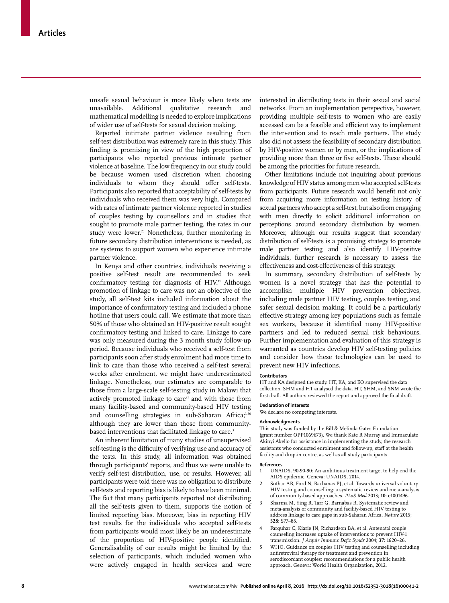unsafe sexual behaviour is more likely when tests are unavailable. Additional qualitative research and mathematical modelling is needed to explore implications of wider use of self-tests for sexual decision making.

Reported intimate partner violence resulting from self-test distribution was extremely rare in this study. This finding is promising in view of the high proportion of participants who reported previous intimate partner violence at baseline. The low frequency in our study could be because women used discretion when choosing individuals to whom they should offer self-tests. Participants also reported that acceptability of self-tests by individuals who received them was very high. Compared with rates of intimate partner violence reported in studies of couples testing by counsellors and in studies that sought to promote male partner testing, the rates in our study were lower.<sup>25</sup> Nonetheless, further monitoring in future secondary distribution interventions is needed, as are systems to support women who experience intimate partner violence.

In Kenya and other countries, individuals receiving a positive self-test result are recommended to seek confirmatory testing for diagnosis of HIV.<sup>11</sup> Although promotion of linkage to care was not an objective of the study, all self-test kits included information about the importance of confirmatory testing and included a phone hotline that users could call. We estimate that more than 50% of those who obtained an HIV-positive result sought confirmatory testing and linked to care. Linkage to care was only measured during the 3 month study follow-up period. Because individuals who received a self-test from participants soon after study enrolment had more time to link to care than those who received a self-test several weeks after enrolment, we might have underestimated linkage. Nonetheless, our estimates are comparable to those from a large-scale self-testing study in Malawi that actively promoted linkage to care<sup>21</sup> and with those from many facility-based and community-based HIV testing and counselling strategies in sub-Saharan Africa;<sup>3,30</sup> although they are lower than those from communitybased interventions that facilitated linkage to care.<sup>3</sup>

An inherent limitation of many studies of unsupervised self-testing is the difficulty of verifying use and accuracy of the tests. In this study, all information was obtained through participants' reports, and thus we were unable to verify self-test distribution, use, or results. However, all participants were told there was no obligation to distribute self-tests and reporting bias is likely to have been minimal. The fact that many participants reported not distributing all the self-tests given to them, supports the notion of limited reporting bias. Moreover, bias in reporting HIV test results for the individuals who accepted self-tests from participants would most likely be an underestimate of the proportion of HIV-positive people identified. Generalisability of our results might be limited by the selection of participants, which included women who were actively engaged in health services and were

interested in distributing tests in their sexual and social networks. From an implementation perspective, however, providing multiple self-tests to women who are easily accessed can be a feasible and efficient way to implement the intervention and to reach male partners. The study also did not assess the feasibility of secondary distribution by HIV-positive women or by men, or the implications of providing more than three or five self-tests. These should be among the priorities for future research.

Other limitations include not inquiring about previous knowledge of HIV status among men who accepted self-tests from participants. Future research would benefit not only from acquiring more information on testing history of sexual partners who accept a self-test, but also from engaging with men directly to solicit additional information on perceptions around secondary distribution by women. Moreover, although our results suggest that secondary distribution of self-tests is a promising strategy to promote male partner testing and also identify HIV-positive individuals, further research is necessary to assess the effectiveness and cost-effectiveness of this strategy.

In summary, secondary distribution of self-tests by women is a novel strategy that has the potential to accomplish multiple HIV prevention objectives, including male partner HIV testing, couples testing, and safer sexual decision making. It could be a particularly effective strategy among key populations such as female sex workers, because it identified many HIV-positive partners and led to reduced sexual risk behaviours. Further implementation and evaluation of this strategy is warranted as countries develop HIV self-testing policies and consider how these technologies can be used to prevent new HIV infections.

#### **Contributors**

HT and KA designed the study. HT, KA, and EO supervised the data collection. SHM and HT analysed the data. HT, SHM, and SNM wrote the first draft. All authors reviewed the report and approved the final draft.

#### **Declaration of interests**

We declare no competing interests.

# **Acknowledgments**

This study was funded by the Bill & Melinda Gates Foundation (grant number OPP1069673). We thank Kate R Murray and Immaculate Akinyi Akello for assistance in implementing the study, the research assistants who conducted enrolment and follow-up, staff at the health facility and drop-in centre, as well as all study participants.

#### **References**

- 1 UNAIDS. 90-90-90: An ambitious treatment target to help end the AIDS epidemic. Geneva: UNAIDS, 2014.
- 2 Suthar AB, Ford N, Bachanas PJ, et al. Towards universal voluntary HIV testing and counselling: a systematic review and meta-analysis of community-based approaches. *PLoS Med* 2013; **10:** e1001496.
- 3 Sharma M, Ying R, Tarr G, Barnabas R. Systematic review and meta-analysis of community and facility-based HIV testing to address linkage to care gaps in sub-Saharan Africa. *Nature* 2015; **528:** S77–85.
- 4 Farquhar C, Kiarie JN, Richardson BA, et al. Antenatal couple counseling increases uptake of interventions to prevent HIV-1 transmission. *J Acquir Immune Defic Syndr* 2004; 37: 1620-26.
- 5 WHO. Guidance on couples HIV testing and counselling including antiretroviral therapy for treatment and prevention in serodiscordant couples: recommendations for a public health approach. Geneva: World Health Organization, 2012.